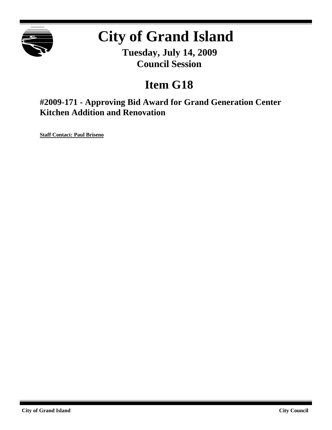

# **City of Grand Island**

**Tuesday, July 14, 2009 Council Session**

## **Item G18**

**#2009-171 - Approving Bid Award for Grand Generation Center Kitchen Addition and Renovation**

**Staff Contact: Paul Briseno**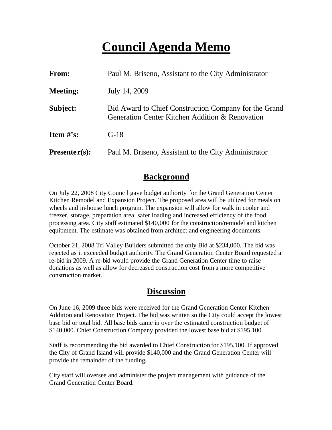## **Council Agenda Memo**

| From:                          | Paul M. Briseno, Assistant to the City Administrator                                                     |  |
|--------------------------------|----------------------------------------------------------------------------------------------------------|--|
| <b>Meeting:</b>                | July 14, 2009                                                                                            |  |
| Subject:                       | Bid Award to Chief Construction Company for the Grand<br>Generation Center Kitchen Addition & Renovation |  |
| <b>Item <math>\#</math>'s:</b> | $G-18$                                                                                                   |  |
| $Presenter(s):$                | Paul M. Briseno, Assistant to the City Administrator                                                     |  |

#### **Background**

On July 22, 2008 City Council gave budget authority for the Grand Generation Center Kitchen Remodel and Expansion Project. The proposed area will be utilized for meals on wheels and in-house lunch program. The expansion will allow for walk in cooler and freezer, storage, preparation area, safer loading and increased efficiency of the food processing area. City staff estimated \$140,000 for the construction/remodel and kitchen equipment. The estimate was obtained from architect and engineering documents.

October 21, 2008 Tri Valley Builders submitted the only Bid at \$234,000. The bid was rejected as it exceeded budget authority. The Grand Generation Center Board requested a re-bid in 2009. A re-bid would provide the Grand Generation Center time to raise donations as well as allow for decreased construction cost from a more competitive construction market.

### **Discussion**

On June 16, 2009 three bids were received for the Grand Generation Center Kitchen Addition and Renovation Project. The bid was written so the City could accept the lowest base bid or total bid. All base bids came in over the estimated construction budget of \$140,000. Chief Construction Company provided the lowest base bid at \$195,100.

Staff is recommending the bid awarded to Chief Construction for \$195,100. If approved the City of Grand Island will provide \$140,000 and the Grand Generation Center will provide the remainder of the funding.

City staff will oversee and administer the project management with guidance of the Grand Generation Center Board.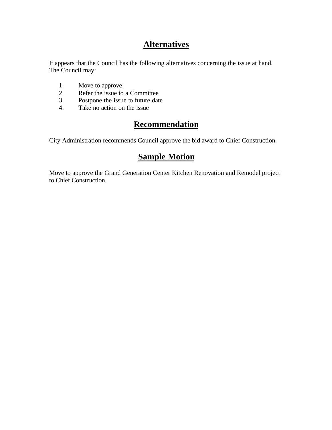## **Alternatives**

It appears that the Council has the following alternatives concerning the issue at hand. The Council may:

- 1. Move to approve
- 2. Refer the issue to a Committee<br>3. Postpone the issue to future date
- Postpone the issue to future date
- 4. Take no action on the issue

## **Recommendation**

City Administration recommends Council approve the bid award to Chief Construction.

### **Sample Motion**

Move to approve the Grand Generation Center Kitchen Renovation and Remodel project to Chief Construction.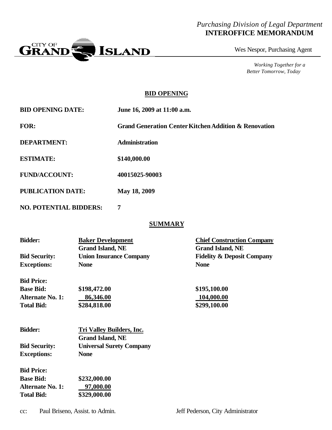#### *Purchasing Division of Legal Department* **INTEROFFICE MEMORANDUM**



Wes Nespor, Purchasing Agent

*Working Together for a Better Tomorrow, Today*

#### **BID OPENING**

| <b>BID OPENING DATE:</b> | June 16, 2009 at 11:00 a.m. |
|--------------------------|-----------------------------|
|--------------------------|-----------------------------|

**FOR: Grand Generation Center Kitchen Addition & Renovation**

**DEPARTMENT: Administration**

**ESTIMATE: \$140,000.00**

**FUND/ACCOUNT: 40015025-90003**

**PUBLICATION DATE: May 18, 2009**

**NO. POTENTIAL BIDDERS: 7**

#### **SUMMARY**

| <b>Bidder:</b>          | <b>Baker Development</b>         | <b>Chief Construction Company</b>     |
|-------------------------|----------------------------------|---------------------------------------|
|                         | <b>Grand Island, NE</b>          | <b>Grand Island, NE</b>               |
| <b>Bid Security:</b>    | <b>Union Insurance Company</b>   | <b>Fidelity &amp; Deposit Company</b> |
| <b>Exceptions:</b>      | <b>None</b>                      | <b>None</b>                           |
| <b>Bid Price:</b>       |                                  |                                       |
| <b>Base Bid:</b>        | \$198,472.00                     | \$195,100.00                          |
| <b>Alternate No. 1:</b> | 86,346.00                        | 104,000.00                            |
| <b>Total Bid:</b>       | \$284,818.00                     | \$299,100.00                          |
| <b>Bidder:</b>          | <b>Tri Valley Builders, Inc.</b> |                                       |
|                         | <b>Grand Island, NE</b>          |                                       |
| <b>Bid Security:</b>    | <b>Universal Surety Company</b>  |                                       |
| <b>Exceptions:</b>      | <b>None</b>                      |                                       |
| <b>Bid Price:</b>       |                                  |                                       |
|                         |                                  |                                       |

**Base Bid: \$232,000.00 Alternate No. 1: 97,000.00 Total Bid: \$329,000.00**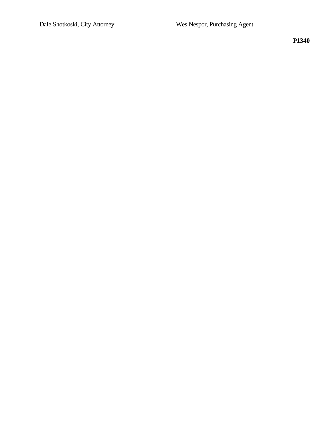**P1340**